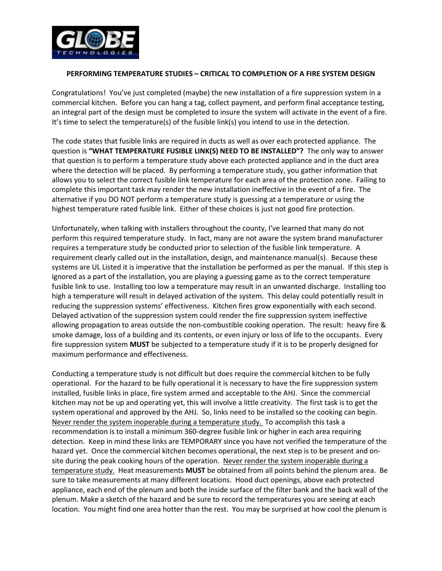

## **PERFORMING TEMPERATURE STUDIES – CRITICAL TO COMPLETION OF A FIRE SYSTEM DESIGN**

Congratulations! You've just completed (maybe) the new installation of a fire suppression system in a commercial kitchen. Before you can hang a tag, collect payment, and perform final acceptance testing, an integral part of the design must be completed to insure the system will activate in the event of a fire. It's time to select the temperature(s) of the fusible link(s) you intend to use in the detection.

The code states that fusible links are required in ducts as well as over each protected appliance. The question is **"WHAT TEMPERATURE FUSIBLE LINK(S) NEED TO BE INSTALLED"?** The only way to answer that question is to perform a temperature study above each protected appliance and in the duct area where the detection will be placed. By performing a temperature study, you gather information that allows you to select the correct fusible link temperature for each area of the protection zone. Failing to complete this important task may render the new installation ineffective in the event of a fire. The alternative if you DO NOT perform a temperature study is guessing at a temperature or using the highest temperature rated fusible link. Either of these choices is just not good fire protection.

Unfortunately, when talking with installers throughout the county, I've learned that many do not perform this required temperature study. In fact, many are not aware the system brand manufacturer requires a temperature study be conducted prior to selection of the fusible link temperature. A requirement clearly called out in the installation, design, and maintenance manual(s). Because these systems are UL Listed it is imperative that the installation be performed as per the manual. If this step is ignored as a part of the installation, you are playing a guessing game as to the correct temperature fusible link to use. Installing too low a temperature may result in an unwanted discharge. Installing too high a temperature will result in delayed activation of the system. This delay could potentially result in reducing the suppression systems' effectiveness. Kitchen fires grow exponentially with each second. Delayed activation of the suppression system could render the fire suppression system ineffective allowing propagation to areas outside the non-combustible cooking operation. The result: heavy fire & smoke damage, loss of a building and its contents, or even injury or loss of life to the occupants. Every fire suppression system **MUST** be subjected to a temperature study if it is to be properly designed for maximum performance and effectiveness.

Conducting a temperature study is not difficult but does require the commercial kitchen to be fully operational. For the hazard to be fully operational it is necessary to have the fire suppression system installed, fusible links in place, fire system armed and acceptable to the AHJ. Since the commercial kitchen may not be up and operating yet, this will involve a little creativity. The first task is to get the system operational and approved by the AHJ. So, links need to be installed so the cooking can begin. Never render the system inoperable during a temperature study. To accomplish this task a recommendation is to install a minimum 360-degree fusible link or higher in each area requiring detection. Keep in mind these links are TEMPORARY since you have not verified the temperature of the hazard yet. Once the commercial kitchen becomes operational, the next step is to be present and onsite during the peak cooking hours of the operation. Never render the system inoperable during a temperature study. Heat measurements **MUST** be obtained from all points behind the plenum area. Be sure to take measurements at many different locations. Hood duct openings, above each protected appliance, each end of the plenum and both the inside surface of the filter bank and the back wall of the plenum. Make a sketch of the hazard and be sure to record the temperatures you are seeing at each location. You might find one area hotter than the rest. You may be surprised at how cool the plenum is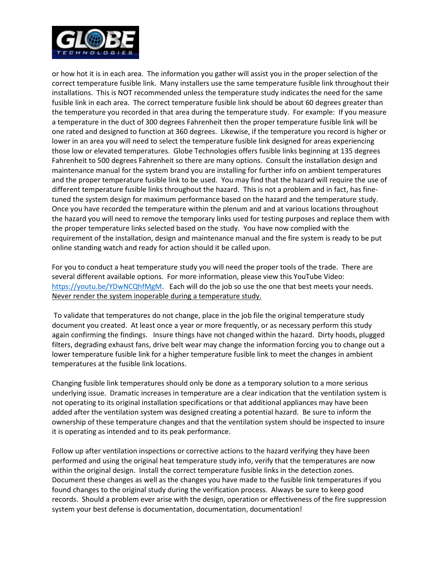

or how hot it is in each area. The information you gather will assist you in the proper selection of the correct temperature fusible link. Many installers use the same temperature fusible link throughout their installations. This is NOT recommended unless the temperature study indicates the need for the same fusible link in each area. The correct temperature fusible link should be about 60 degrees greater than the temperature you recorded in that area during the temperature study. For example: If you measure a temperature in the duct of 300 degrees Fahrenheit then the proper temperature fusible link will be one rated and designed to function at 360 degrees. Likewise, if the temperature you record is higher or lower in an area you will need to select the temperature fusible link designed for areas experiencing those low or elevated temperatures. Globe Technologies offers fusible links beginning at 135 degrees Fahrenheit to 500 degrees Fahrenheit so there are many options. Consult the installation design and maintenance manual for the system brand you are installing for further info on ambient temperatures and the proper temperature fusible link to be used. You may find that the hazard will require the use of different temperature fusible links throughout the hazard. This is not a problem and in fact, has finetuned the system design for maximum performance based on the hazard and the temperature study. Once you have recorded the temperature within the plenum and and at various locations throughout the hazard you will need to remove the temporary links used for testing purposes and replace them with the proper temperature links selected based on the study. You have now complied with the requirement of the installation, design and maintenance manual and the fire system is ready to be put online standing watch and ready for action should it be called upon.

For you to conduct a heat temperature study you will need the proper tools of the trade. There are several different available options. For more information, please view this YouTube Video: [https://youtu.be/YDwNCQhfMgM.](https://youtu.be/YDwNCQhfMgM) Each will do the job so use the one that best meets your needs. Never render the system inoperable during a temperature study.

To validate that temperatures do not change, place in the job file the original temperature study document you created. At least once a year or more frequently, or as necessary perform this study again confirming the findings. Insure things have not changed within the hazard. Dirty hoods, plugged filters, degrading exhaust fans, drive belt wear may change the information forcing you to change out a lower temperature fusible link for a higher temperature fusible link to meet the changes in ambient temperatures at the fusible link locations.

Changing fusible link temperatures should only be done as a temporary solution to a more serious underlying issue. Dramatic increases in temperature are a clear indication that the ventilation system is not operating to its original installation specifications or that additional appliances may have been added after the ventilation system was designed creating a potential hazard. Be sure to inform the ownership of these temperature changes and that the ventilation system should be inspected to insure it is operating as intended and to its peak performance.

Follow up after ventilation inspections or corrective actions to the hazard verifying they have been performed and using the original heat temperature study info, verify that the temperatures are now within the original design. Install the correct temperature fusible links in the detection zones. Document these changes as well as the changes you have made to the fusible link temperatures if you found changes to the original study during the verification process. Always be sure to keep good records. Should a problem ever arise with the design, operation or effectiveness of the fire suppression system your best defense is documentation, documentation, documentation!